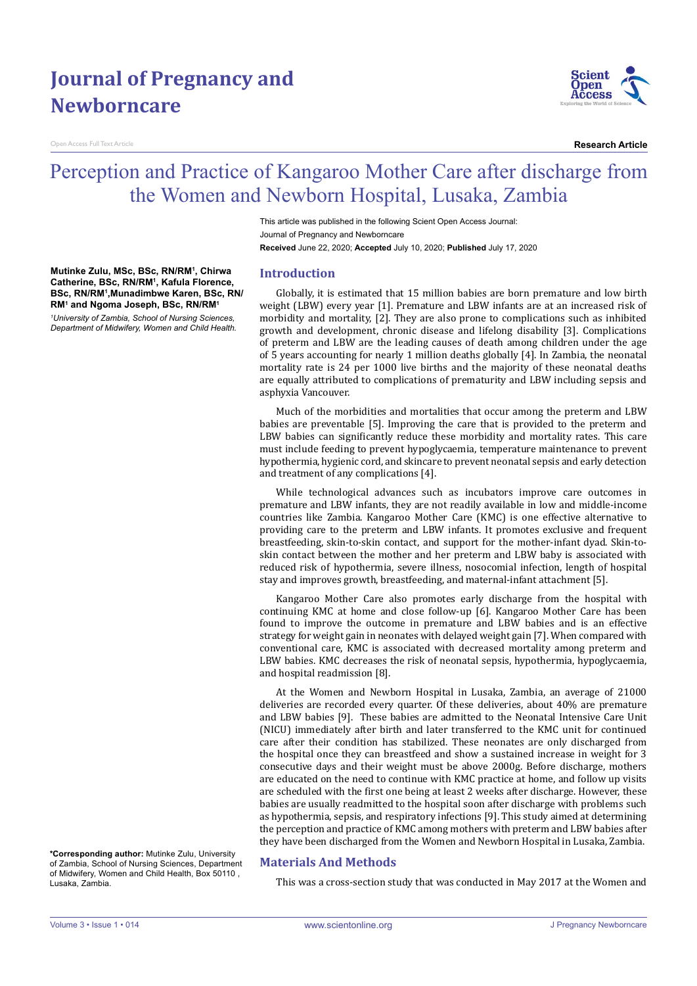# **Journal of Pregnancy and Newborncare**

**Mutinke Zulu, MSc, BSc, RN/RM1 , Chirwa Catherine, BSc, RN/RM1 , Kafula Florence, BSc, RN/RM1 ,Munadimbwe Karen, BSc, RN/ RM1 and Ngoma Joseph, BSc, RN/RM1** *1 University of Zambia, School of Nursing Sciences, Department of Midwifery, Women and Child Health.*

n Access Full Text Article



**Research Article**

# Perception and Practice of Kangaroo Mother Care after discharge from the Women and Newborn Hospital, Lusaka, Zambia

This article was published in the following Scient Open Access Journal: Journal of Pregnancy and Newborncare **Received** June 22, 2020; **Accepted** July 10, 2020; **Published** July 17, 2020

## **Introduction**

Globally, it is estimated that 15 million babies are born premature and low birth weight (LBW) every year [1]. Premature and LBW infants are at an increased risk of morbidity and mortality, [2]. They are also prone to complications such as inhibited growth and development, chronic disease and lifelong disability [3]. Complications of preterm and LBW are the leading causes of death among children under the age of 5 years accounting for nearly 1 million deaths globally [4]. In Zambia, the neonatal mortality rate is 24 per 1000 live births and the majority of these neonatal deaths are equally attributed to complications of prematurity and LBW including sepsis and asphyxia Vancouver.

Much of the morbidities and mortalities that occur among the preterm and LBW babies are preventable [5]. Improving the care that is provided to the preterm and LBW babies can significantly reduce these morbidity and mortality rates. This care must include feeding to prevent hypoglycaemia, temperature maintenance to prevent hypothermia, hygienic cord, and skincare to prevent neonatal sepsis and early detection and treatment of any complications [4].

While technological advances such as incubators improve care outcomes in premature and LBW infants, they are not readily available in low and middle-income countries like Zambia. Kangaroo Mother Care (KMC) is one effective alternative to providing care to the preterm and LBW infants. It promotes exclusive and frequent breastfeeding, skin-to-skin contact, and support for the mother-infant dyad. Skin-toskin contact between the mother and her preterm and LBW baby is associated with reduced risk of hypothermia, severe illness, nosocomial infection, length of hospital stay and improves growth, breastfeeding, and maternal-infant attachment [5].

Kangaroo Mother Care also promotes early discharge from the hospital with continuing KMC at home and close follow-up [6]. Kangaroo Mother Care has been found to improve the outcome in premature and LBW babies and is an effective strategy for weight gain in neonates with delayed weight gain [7]. When compared with conventional care, KMC is associated with decreased mortality among preterm and LBW babies. KMC decreases the risk of neonatal sepsis, hypothermia, hypoglycaemia, and hospital readmission [8].

At the Women and Newborn Hospital in Lusaka, Zambia, an average of 21000 deliveries are recorded every quarter. Of these deliveries, about 40% are premature and LBW babies [9]. These babies are admitted to the Neonatal Intensive Care Unit (NICU) immediately after birth and later transferred to the KMC unit for continued care after their condition has stabilized. These neonates are only discharged from the hospital once they can breastfeed and show a sustained increase in weight for 3 consecutive days and their weight must be above 2000g. Before discharge, mothers are educated on the need to continue with KMC practice at home, and follow up visits are scheduled with the first one being at least 2 weeks after discharge. However, these babies are usually readmitted to the hospital soon after discharge with problems such as hypothermia, sepsis, and respiratory infections [9]. This study aimed at determining the perception and practice of KMC among mothers with preterm and LBW babies after they have been discharged from the Women and Newborn Hospital in Lusaka, Zambia.

**\*Corresponding author:** Mutinke Zulu, University of Zambia, School of Nursing Sciences, Department of Midwifery, Women and Child Health, Box 50110 , Lusaka, Zambia.

# **Materials And Methods**

This was a cross-section study that was conducted in May 2017 at the Women and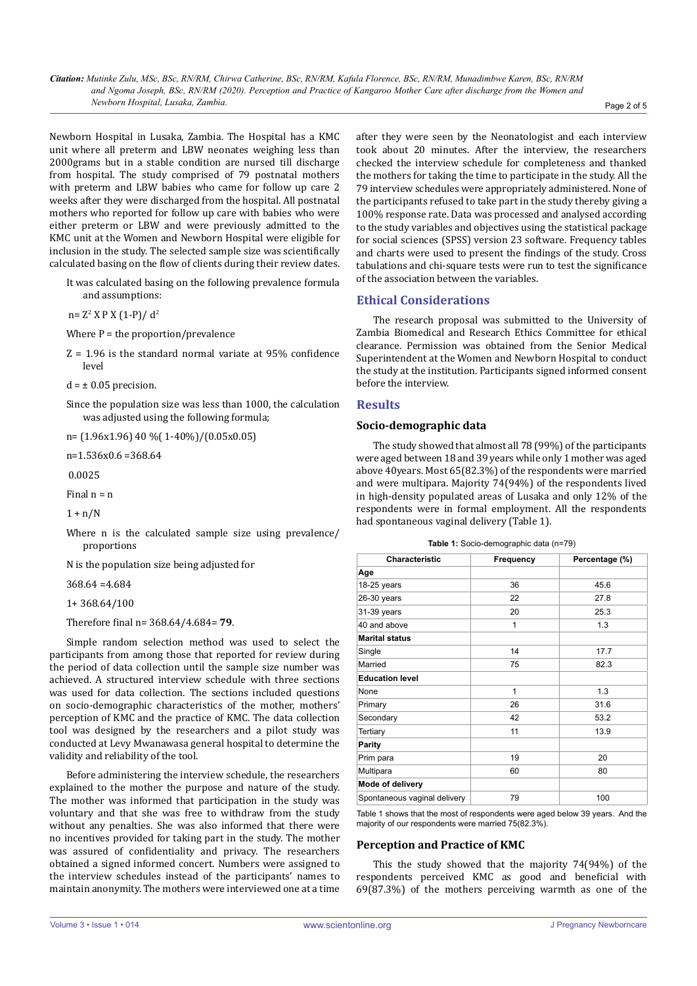*Citation: Mutinke Zulu, MSc, BSc, RN/RM, Chirwa Catherine, BSc, RN/RM, Kafula Florence, BSc, RN/RM, Munadimbwe Karen, BSc, RN/RM and Ngoma Joseph, BSc, RN/RM (2020). Perception and Practice of Kangaroo Mother Care after discharge from the Women and Newborn Hospital, Lusaka, Zambia.* Page 2 of 5

Newborn Hospital in Lusaka, Zambia. The Hospital has a KMC unit where all preterm and LBW neonates weighing less than 2000grams but in a stable condition are nursed till discharge from hospital. The study comprised of 79 postnatal mothers with preterm and LBW babies who came for follow up care 2 weeks after they were discharged from the hospital. All postnatal mothers who reported for follow up care with babies who were either preterm or LBW and were previously admitted to the KMC unit at the Women and Newborn Hospital were eligible for inclusion in the study. The selected sample size was scientifically calculated basing on the flow of clients during their review dates.

It was calculated basing on the following prevalence formula and assumptions:

 $n= Z^2 X P X (1-P)/ d^2$ 

Where  $P =$  the proportion/prevalence

Z = 1.96 is the standard normal variate at 95% confidence level

 $d = \pm 0.05$  precision.

Since the population size was less than 1000, the calculation was adjusted using the following formula;

n= (1.96x1.96) 40 %( 1-40%)/(0.05x0.05)

n=1.536x0.6 =368.64

0.0025

Final  $n = n$ 

 $1 + n/N$ 

Where n is the calculated sample size using prevalence/ proportions

N is the population size being adjusted for

368.64 =4.684

1+ 368.64/100

Therefore final n= 368.64/4.684= **79**.

Simple random selection method was used to select the participants from among those that reported for review during the period of data collection until the sample size number was achieved. A structured interview schedule with three sections was used for data collection. The sections included questions on socio-demographic characteristics of the mother, mothers' perception of KMC and the practice of KMC. The data collection tool was designed by the researchers and a pilot study was conducted at Levy Mwanawasa general hospital to determine the validity and reliability of the tool.

Before administering the interview schedule, the researchers explained to the mother the purpose and nature of the study. The mother was informed that participation in the study was voluntary and that she was free to withdraw from the study without any penalties. She was also informed that there were no incentives provided for taking part in the study. The mother was assured of confidentiality and privacy. The researchers obtained a signed informed concert. Numbers were assigned to the interview schedules instead of the participants' names to maintain anonymity. The mothers were interviewed one at a time

after they were seen by the Neonatologist and each interview took about 20 minutes. After the interview, the researchers checked the interview schedule for completeness and thanked the mothers for taking the time to participate in the study. All the 79 interview schedules were appropriately administered. None of the participants refused to take part in the study thereby giving a 100% response rate. Data was processed and analysed according to the study variables and objectives using the statistical package for social sciences (SPSS) version 23 software. Frequency tables and charts were used to present the findings of the study. Cross tabulations and chi-square tests were run to test the significance of the association between the variables.

## **Ethical Considerations**

The research proposal was submitted to the University of Zambia Biomedical and Research Ethics Committee for ethical clearance. Permission was obtained from the Senior Medical Superintendent at the Women and Newborn Hospital to conduct the study at the institution. Participants signed informed consent before the interview.

## **Results**

#### **Socio-demographic data**

The study showed that almost all 78 (99%) of the participants were aged between 18 and 39 years while only 1 mother was aged above 40years. Most 65(82.3%) of the respondents were married and were multipara. Majority 74(94%) of the respondents lived in high-density populated areas of Lusaka and only 12% of the respondents were in formal employment. All the respondents had spontaneous vaginal delivery (Table 1).

|  | Table 1: Socio-demographic data (n=79) |  |
|--|----------------------------------------|--|
|--|----------------------------------------|--|

| Characteristic               | Frequency    | Percentage (%) |  |
|------------------------------|--------------|----------------|--|
| Age                          |              |                |  |
| 18-25 years                  | 36           | 45.6           |  |
| $26-30$ years                | 22           | 27.8           |  |
| 31-39 years                  | 20           | 25.3           |  |
| 40 and above                 | 1            | 1.3            |  |
| <b>Marital status</b>        |              |                |  |
| Single                       | 14           | 17.7           |  |
| Married                      | 75           | 82.3           |  |
| <b>Education level</b>       |              |                |  |
| None                         | $\mathbf{1}$ | 1.3            |  |
| Primary                      | 26           | 31.6           |  |
| Secondary                    | 42<br>53.2   |                |  |
| Tertiary                     | 11           | 13.9           |  |
| <b>Parity</b>                |              |                |  |
| Prim para                    | 19           | 20             |  |
| Multipara                    | 60           | 80             |  |
| Mode of delivery             |              |                |  |
| Spontaneous vaginal delivery | 79           | 100            |  |
|                              |              |                |  |

Table 1 shows that the most of respondents were aged below 39 years. And the majority of our respondents were married 75(82.3%).

#### **Perception and Practice of KMC**

This the study showed that the majority 74(94%) of the respondents perceived KMC as good and beneficial with 69(87.3%) of the mothers perceiving warmth as one of the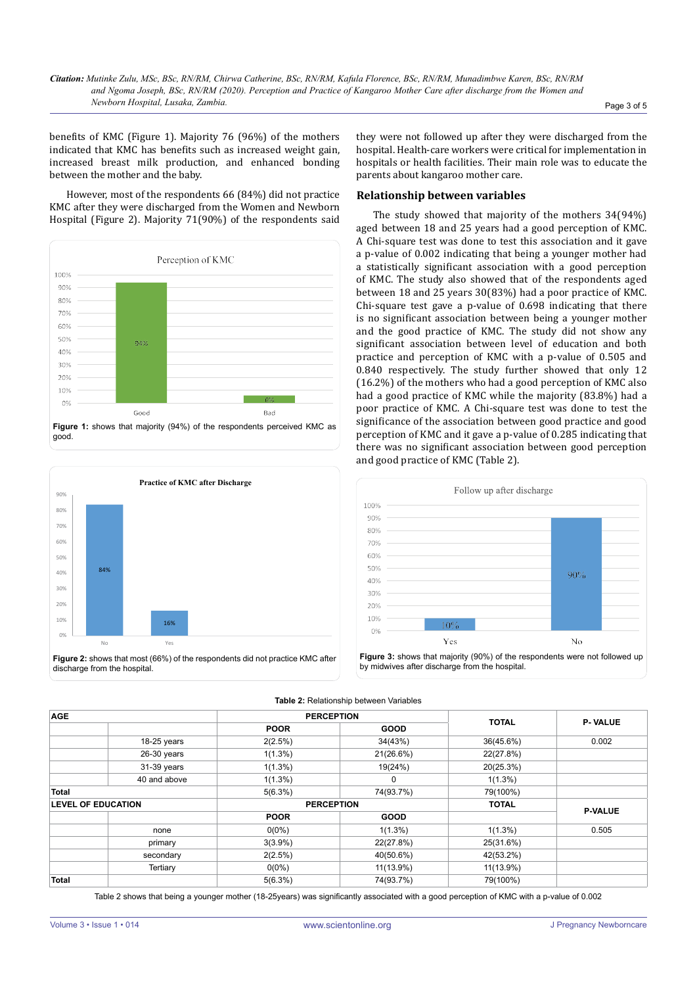benefits of KMC (Figure 1). Majority 76 (96%) of the mothers indicated that KMC has benefits such as increased weight gain, increased breast milk production, and enhanced bonding between the mother and the baby.

However, most of the respondents 66 (84%) did not practice KMC after they were discharged from the Women and Newborn Hospital (Figure 2). Majority 71(90%) of the respondents said





they were not followed up after they were discharged from the hospital. Health-care workers were critical for implementation in hospitals or health facilities. Their main role was to educate the parents about kangaroo mother care.

#### **Relationship between variables**

The study showed that majority of the mothers 34(94%) aged between 18 and 25 years had a good perception of KMC. A Chi-square test was done to test this association and it gave a p-value of 0.002 indicating that being a younger mother had a statistically significant association with a good perception of KMC. The study also showed that of the respondents aged between 18 and 25 years 30(83%) had a poor practice of KMC. Chi-square test gave a p-value of 0.698 indicating that there is no significant association between being a younger mother and the good practice of KMC. The study did not show any significant association between level of education and both practice and perception of KMC with a p-value of 0.505 and 0.840 respectively. The study further showed that only 12 (16.2%) of the mothers who had a good perception of KMC also had a good practice of KMC while the majority (83.8%) had a poor practice of KMC. A Chi-square test was done to test the significance of the association between good practice and good perception of KMC and it gave a p-value of 0.285 indicating that there was no significant association between good perception and good practice of KMC (Table 2).



**Table 2:** Relationship between Variables

| <b>AGE</b>                |              | <b>PERCEPTION</b> |             |              |                |
|---------------------------|--------------|-------------------|-------------|--------------|----------------|
|                           |              | <b>POOR</b>       | <b>GOOD</b> | <b>TOTAL</b> | <b>P-VALUE</b> |
|                           | 18-25 years  | 2(2.5%)           | 34(43%)     | 36(45.6%)    | 0.002          |
|                           | 26-30 years  | $1(1.3\%)$        | 21(26.6%)   | 22(27.8%)    |                |
|                           | 31-39 years  | $1(1.3\%)$        | 19(24%)     | 20(25.3%)    |                |
|                           | 40 and above | $1(1.3\%)$        | 0           | $1(1.3\%)$   |                |
| <b>Total</b>              |              | 5(6.3%)           | 74(93.7%)   | 79(100%)     |                |
| <b>LEVEL OF EDUCATION</b> |              | <b>PERCEPTION</b> |             | <b>TOTAL</b> | <b>P-VALUE</b> |
|                           |              | <b>POOR</b>       | <b>GOOD</b> |              |                |
|                           | none         | $0(0\%)$          | $1(1.3\%)$  | $1(1.3\%)$   | 0.505          |
|                           | primary      | $3(3.9\%)$        | 22(27.8%)   | 25(31.6%)    |                |
|                           | secondary    | 2(2.5%)           | 40(50.6%)   | 42(53.2%)    |                |
|                           | Tertiary     | $0(0\%)$          | 11(13.9%)   | 11(13.9%)    |                |
| <b>Total</b>              |              | 5(6.3%)           | 74(93.7%)   | 79(100%)     |                |

Table 2 shows that being a younger mother (18-25years) was significantly associated with a good perception of KMC with a p-value of 0.002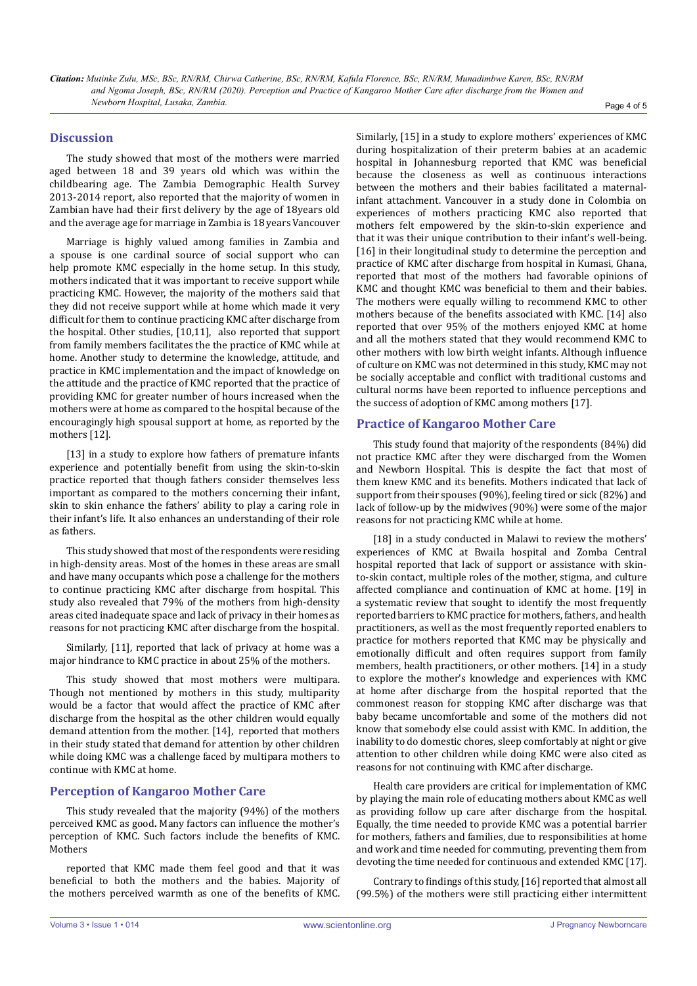*Citation: Mutinke Zulu, MSc, BSc, RN/RM, Chirwa Catherine, BSc, RN/RM, Kafula Florence, BSc, RN/RM, Munadimbwe Karen, BSc, RN/RM and Ngoma Joseph, BSc, RN/RM (2020). Perception and Practice of Kangaroo Mother Care after discharge from the Women and Newborn Hospital, Lusaka, Zambia.* Page 4 of 5

## **Discussion**

The study showed that most of the mothers were married aged between 18 and 39 years old which was within the childbearing age. The Zambia Demographic Health Survey 2013-2014 report, also reported that the majority of women in Zambian have had their first delivery by the age of 18years old and the average age for marriage in Zambia is 18 years Vancouver

Marriage is highly valued among families in Zambia and a spouse is one cardinal source of social support who can help promote KMC especially in the home setup. In this study, mothers indicated that it was important to receive support while practicing KMC. However, the majority of the mothers said that they did not receive support while at home which made it very difficult for them to continue practicing KMC after discharge from the hospital. Other studies, [10,11], also reported that support from family members facilitates the the practice of KMC while at home. Another study to determine the knowledge, attitude, and practice in KMC implementation and the impact of knowledge on the attitude and the practice of KMC reported that the practice of providing KMC for greater number of hours increased when the mothers were at home as compared to the hospital because of the encouragingly high spousal support at home, as reported by the mothers [12].

[13] in a study to explore how fathers of premature infants experience and potentially benefit from using the skin-to-skin practice reported that though fathers consider themselves less important as compared to the mothers concerning their infant, skin to skin enhance the fathers' ability to play a caring role in their infant's life. It also enhances an understanding of their role as fathers.

This study showed that most of the respondents were residing in high-density areas. Most of the homes in these areas are small and have many occupants which pose a challenge for the mothers to continue practicing KMC after discharge from hospital. This study also revealed that 79% of the mothers from high-density areas cited inadequate space and lack of privacy in their homes as reasons for not practicing KMC after discharge from the hospital.

Similarly, [11], reported that lack of privacy at home was a major hindrance to KMC practice in about 25% of the mothers.

This study showed that most mothers were multipara. Though not mentioned by mothers in this study, multiparity would be a factor that would affect the practice of KMC after discharge from the hospital as the other children would equally demand attention from the mother. [14], reported that mothers in their study stated that demand for attention by other children while doing KMC was a challenge faced by multipara mothers to continue with KMC at home.

# **Perception of Kangaroo Mother Care**

This study revealed that the majority (94%) of the mothers perceived KMC as good**.** Many factors can influence the mother's perception of KMC. Such factors include the benefits of KMC. Mothers

reported that KMC made them feel good and that it was beneficial to both the mothers and the babies. Majority of the mothers perceived warmth as one of the benefits of KMC. Similarly, [15] in a study to explore mothers' experiences of KMC during hospitalization of their preterm babies at an academic hospital in Johannesburg reported that KMC was beneficial because the closeness as well as continuous interactions between the mothers and their babies facilitated a maternalinfant attachment. Vancouver in a study done in Colombia on experiences of mothers practicing KMC also reported that mothers felt empowered by the skin-to-skin experience and that it was their unique contribution to their infant's well-being. [16] in their longitudinal study to determine the perception and practice of KMC after discharge from hospital in Kumasi, Ghana, reported that most of the mothers had favorable opinions of KMC and thought KMC was beneficial to them and their babies. The mothers were equally willing to recommend KMC to other mothers because of the benefits associated with KMC. [14] also reported that over 95% of the mothers enjoyed KMC at home and all the mothers stated that they would recommend KMC to other mothers with low birth weight infants. Although influence of culture on KMC was not determined in this study, KMC may not be socially acceptable and conflict with traditional customs and cultural norms have been reported to influence perceptions and the success of adoption of KMC among mothers [17].

# **Practice of Kangaroo Mother Care**

This study found that majority of the respondents (84%) did not practice KMC after they were discharged from the Women and Newborn Hospital. This is despite the fact that most of them knew KMC and its benefits. Mothers indicated that lack of support from their spouses (90%), feeling tired or sick (82%) and lack of follow-up by the midwives (90%) were some of the major reasons for not practicing KMC while at home.

[18] in a study conducted in Malawi to review the mothers' experiences of KMC at Bwaila hospital and Zomba Central hospital reported that lack of support or assistance with skinto-skin contact, multiple roles of the mother, stigma, and culture affected compliance and continuation of KMC at home. [19] in a systematic review that sought to identify the most frequently reported barriers to KMC practice for mothers, fathers, and health practitioners, as well as the most frequently reported enablers to practice for mothers reported that KMC may be physically and emotionally difficult and often requires support from family members, health practitioners, or other mothers. [14] in a study to explore the mother's knowledge and experiences with KMC at home after discharge from the hospital reported that the commonest reason for stopping KMC after discharge was that baby became uncomfortable and some of the mothers did not know that somebody else could assist with KMC. In addition, the inability to do domestic chores, sleep comfortably at night or give attention to other children while doing KMC were also cited as reasons for not continuing with KMC after discharge.

Health care providers are critical for implementation of KMC by playing the main role of educating mothers about KMC as well as providing follow up care after discharge from the hospital. Equally, the time needed to provide KMC was a potential barrier for mothers, fathers and families, due to responsibilities at home and work and time needed for commuting, preventing them from devoting the time needed for continuous and extended KMC [17].

Contrary to findings of this study, [16] reported that almost all (99.5%) of the mothers were still practicing either intermittent